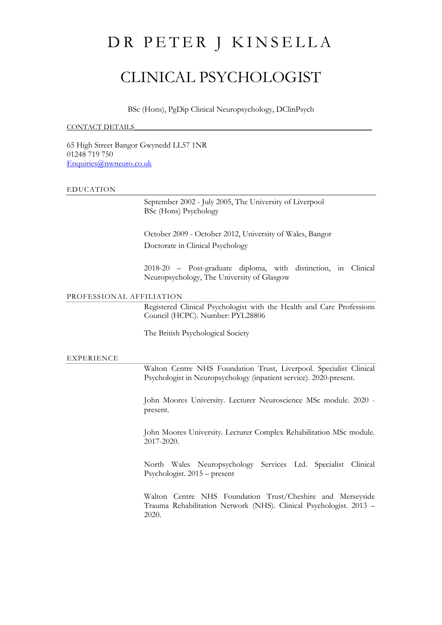# DR PETER J KINSELLA

## CLINICAL PSYCHOLOGIST

BSc (Hons), PgDip Clinical Neuropsychology, DClinPsych

#### CONTACT DETAILS

65 High Street Bangor Gwynedd LL57 1NR 01248 719 750 [Enquiries@nwneuro.co.uk](mailto:Enquiries@nwneuro.co.uk)

#### EDUCATION

September 2002 - July 2005, The University of Liverpool BSc (Hons) Psychology

October 2009 - October 2012, University of Wales, Bangor Doctorate in Clinical Psychology

2018-20 – Post-graduate diploma, with distinction, in Clinical Neuropsychology, The University of Glasgow

## PROFESSIONAL AFFILIATION

Registered Clinical Psychologist with the Health and Care Professions Council (HCPC). Number: PYL28806

The British Psychological Society

#### EXPERIENCE

Walton Centre NHS Foundation Trust, Liverpool. Specialist Clinical Psychologist in Neuropsychology (inpatient service). 2020-present.

John Moores University. Lecturer Neuroscience MSc module. 2020 present.

John Moores University. Lecturer Complex Rehabilitation MSc module. 2017-2020.

North Wales Neuropsychology Services Ltd. Specialist Clinical Psychologist. 2015 – present

Walton Centre NHS Foundation Trust/Cheshire and Merseyside Trauma Rehabilitation Network (NHS). Clinical Psychologist. 2013 – 2020.